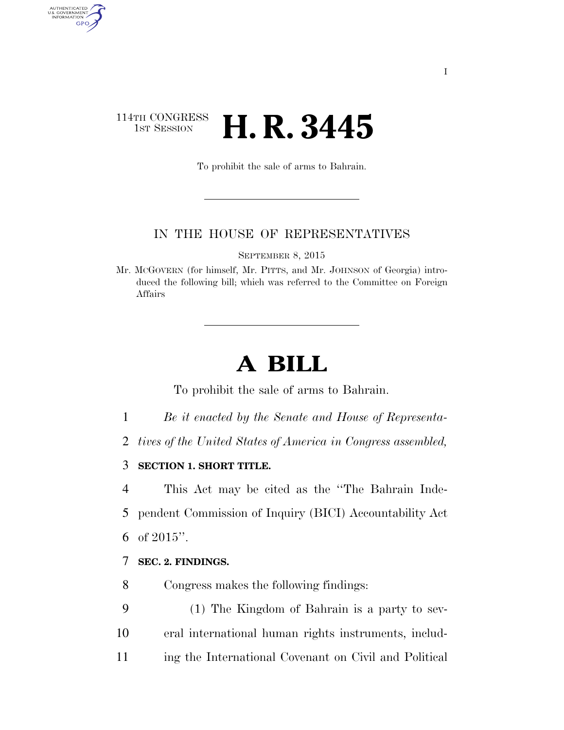## 114TH CONGRESS<br>1st Session **H. R. 3445**

AUTHENTICATED<br>U.S. GOVERNMENT<br>INFORMATION GPO

To prohibit the sale of arms to Bahrain.

## IN THE HOUSE OF REPRESENTATIVES

SEPTEMBER 8, 2015

Mr. MCGOVERN (for himself, Mr. PITTS, and Mr. JOHNSON of Georgia) introduced the following bill; which was referred to the Committee on Foreign Affairs

## **A BILL**

To prohibit the sale of arms to Bahrain.

- 1 *Be it enacted by the Senate and House of Representa-*
- 2 *tives of the United States of America in Congress assembled,*
- 3 **SECTION 1. SHORT TITLE.**

4 This Act may be cited as the ''The Bahrain Inde-5 pendent Commission of Inquiry (BICI) Accountability Act 6 of 2015''.

## 7 **SEC. 2. FINDINGS.**

8 Congress makes the following findings:

9 (1) The Kingdom of Bahrain is a party to sev-10 eral international human rights instruments, includ-11 ing the International Covenant on Civil and Political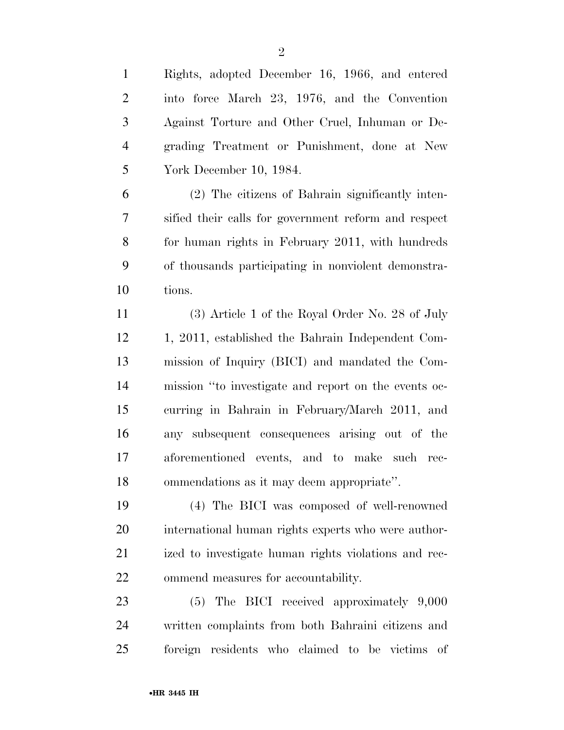| $\mathbf{1}$   | Rights, adopted December 16, 1966, and entered       |
|----------------|------------------------------------------------------|
| $\overline{2}$ | into force March 23, 1976, and the Convention        |
| $\mathfrak{Z}$ | Against Torture and Other Cruel, Inhuman or De-      |
| $\overline{4}$ | grading Treatment or Punishment, done at New         |
| 5              | York December 10, 1984.                              |
| 6              | (2) The citizens of Bahrain significantly inten-     |
| 7              | sified their calls for government reform and respect |
| 8              | for human rights in February 2011, with hundreds     |
| 9              | of thousands participating in nonviolent demonstra-  |
| 10             | tions.                                               |
| 11             | (3) Article 1 of the Royal Order No. 28 of July      |
| 12             | 1, 2011, established the Bahrain Independent Com-    |
| 13             | mission of Inquiry (BICI) and mandated the Com-      |
| 14             | mission "to investigate and report on the events oc- |
| 15             | curring in Bahrain in February/March 2011, and       |
| 16             | any subsequent consequences arising out of the       |
| 17             | aforementioned events, and to make such rec-         |
| 18             | ommendations as it may deem appropriate".            |
| 19             | (4) The BICI was composed of well-renowned           |
| 20             | international human rights experts who were author-  |
| 21             | ized to investigate human rights violations and rec- |
| 22             | ommend measures for accountability.                  |
| 23             | $(5)$ The BICI received approximately $9,000$        |
| 24             | written complaints from both Bahraini citizens and   |
| 25             | foreign residents who claimed to be victims of       |

•**HR 3445 IH**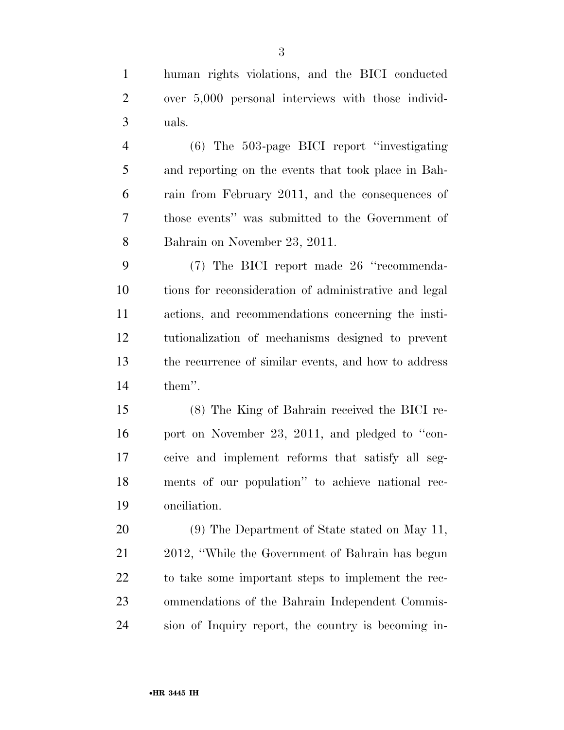human rights violations, and the BICI conducted over 5,000 personal interviews with those individ-uals.

 (6) The 503-page BICI report ''investigating and reporting on the events that took place in Bah- rain from February 2011, and the consequences of those events'' was submitted to the Government of Bahrain on November 23, 2011.

 (7) The BICI report made 26 ''recommenda- tions for reconsideration of administrative and legal actions, and recommendations concerning the insti- tutionalization of mechanisms designed to prevent the recurrence of similar events, and how to address them''.

 (8) The King of Bahrain received the BICI re-16 port on November 23, 2011, and pledged to "con- ceive and implement reforms that satisfy all seg- ments of our population'' to achieve national rec-onciliation.

 (9) The Department of State stated on May 11, 2012, ''While the Government of Bahrain has begun to take some important steps to implement the rec- ommendations of the Bahrain Independent Commis-sion of Inquiry report, the country is becoming in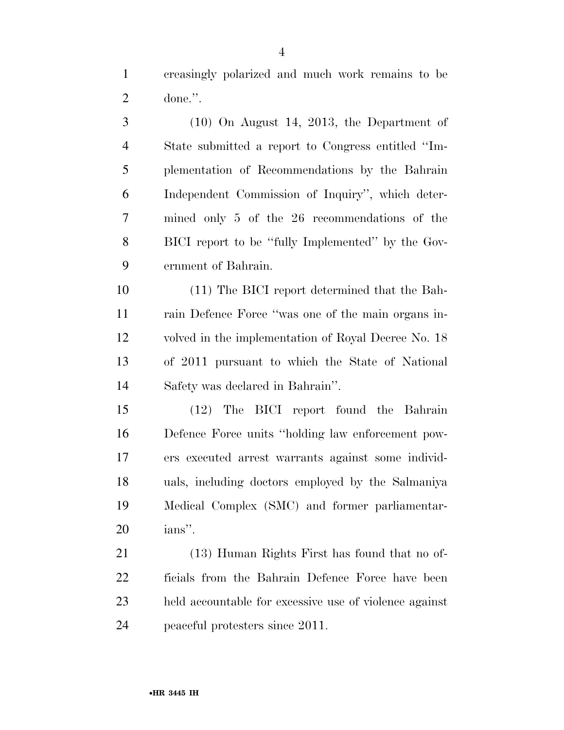creasingly polarized and much work remains to be done.''.

 (10) On August 14, 2013, the Department of State submitted a report to Congress entitled ''Im- plementation of Recommendations by the Bahrain Independent Commission of Inquiry'', which deter- mined only 5 of the 26 recommendations of the BICI report to be ''fully Implemented'' by the Gov-ernment of Bahrain.

 (11) The BICI report determined that the Bah- rain Defence Force ''was one of the main organs in- volved in the implementation of Royal Decree No. 18 of 2011 pursuant to which the State of National Safety was declared in Bahrain''.

 (12) The BICI report found the Bahrain Defence Force units ''holding law enforcement pow- ers executed arrest warrants against some individ- uals, including doctors employed by the Salmaniya Medical Complex (SMC) and former parliamentar-ians''.

 (13) Human Rights First has found that no of- ficials from the Bahrain Defence Force have been held accountable for excessive use of violence against peaceful protesters since 2011.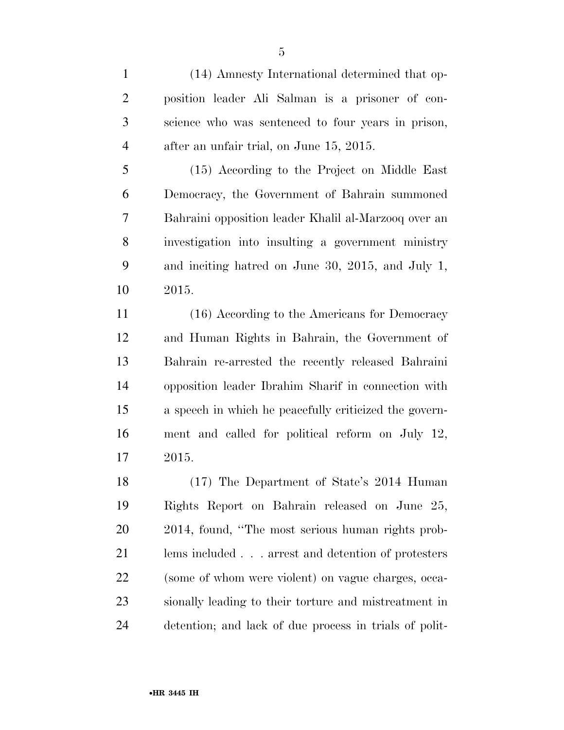(14) Amnesty International determined that op- position leader Ali Salman is a prisoner of con- science who was sentenced to four years in prison, after an unfair trial, on June 15, 2015.

 (15) According to the Project on Middle East Democracy, the Government of Bahrain summoned Bahraini opposition leader Khalil al-Marzooq over an investigation into insulting a government ministry and inciting hatred on June 30, 2015, and July 1, 2015.

11 (16) According to the Americans for Democracy and Human Rights in Bahrain, the Government of Bahrain re-arrested the recently released Bahraini opposition leader Ibrahim Sharif in connection with a speech in which he peacefully criticized the govern- ment and called for political reform on July 12, 2015.

 (17) The Department of State's 2014 Human Rights Report on Bahrain released on June 25, 2014, found, ''The most serious human rights prob- lems included . . . arrest and detention of protesters (some of whom were violent) on vague charges, occa- sionally leading to their torture and mistreatment in detention; and lack of due process in trials of polit-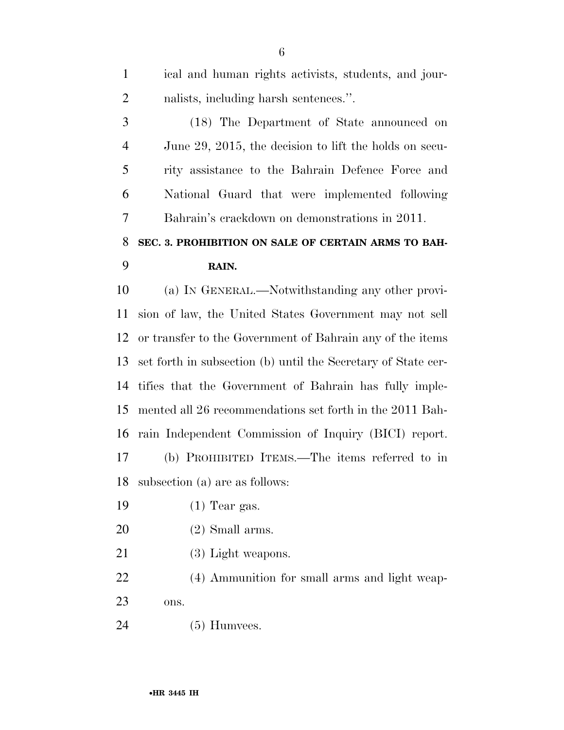| $\mathbf{1}$   | ical and human rights activists, students, and jour-          |
|----------------|---------------------------------------------------------------|
| 2              | nalists, including harsh sentences.".                         |
| 3              | (18) The Department of State announced on                     |
| $\overline{4}$ | June 29, 2015, the decision to lift the holds on secu-        |
| 5              | rity assistance to the Bahrain Defence Force and              |
| 6              | National Guard that were implemented following                |
| 7              | Bahrain's crackdown on demonstrations in 2011.                |
| 8              | SEC. 3. PROHIBITION ON SALE OF CERTAIN ARMS TO BAH-           |
| 9              | RAIN.                                                         |
| 10             | (a) IN GENERAL.—Notwithstanding any other provi-              |
| 11             | sion of law, the United States Government may not sell        |
| 12             | or transfer to the Government of Bahrain any of the items     |
| 13             | set forth in subsection (b) until the Secretary of State cer- |
| 14             | tifies that the Government of Bahrain has fully imple-        |
| 15             | mented all 26 recommendations set forth in the 2011 Bah-      |
| 16             | rain Independent Commission of Inquiry (BICI) report.         |
| 17             | (b) PROHIBITED ITEMS.—The items referred to in                |
| 18             | subsection (a) are as follows:                                |
| 19             | $(1)$ Tear gas.                                               |
| 20             | $(2)$ Small arms.                                             |
| 21             | (3) Light weapons.                                            |
| 22             | (4) Ammunition for small arms and light weap-                 |
| 23             | ons.                                                          |

(5) Humvees.